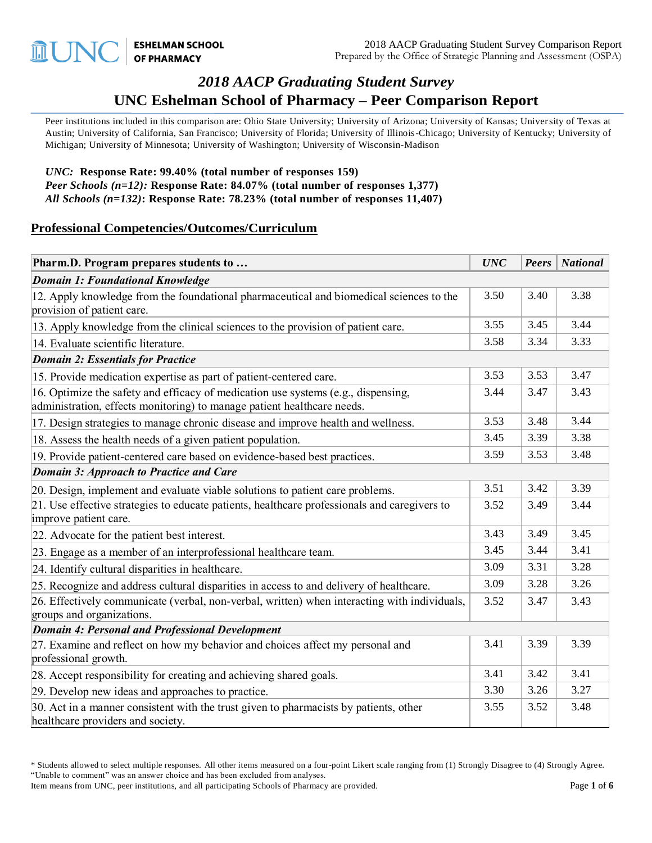# *2018 AACP Graduating Student Survey* **UNC Eshelman School of Pharmacy – Peer Comparison Report**

Peer institutions included in this comparison are: Ohio State University; University of Arizona; University of Kansas; University of Texas at Austin; University of California, San Francisco; University of Florida; University of Illinois-Chicago; University of Kentucky; University of Michigan; University of Minnesota; University of Washington; University of Wisconsin-Madison

#### *UNC:* **Response Rate: 99.40% (total number of responses 159)** *Peer Schools (n=12):* **Response Rate: 84.07% (total number of responses 1,377)** *All Schools (n=132)***: Response Rate: 78.23% (total number of responses 11,407)**

#### **Professional Competencies/Outcomes/Curriculum**

| Pharm.D. Program prepares students to                                                                                                                        | <b>UNC</b> |      | Peers   National |
|--------------------------------------------------------------------------------------------------------------------------------------------------------------|------------|------|------------------|
| <b>Domain 1: Foundational Knowledge</b>                                                                                                                      |            |      |                  |
| 12. Apply knowledge from the foundational pharmaceutical and biomedical sciences to the<br>provision of patient care.                                        | 3.50       | 3.40 | 3.38             |
| 13. Apply knowledge from the clinical sciences to the provision of patient care.                                                                             | 3.55       | 3.45 | 3.44             |
| 14. Evaluate scientific literature.                                                                                                                          | 3.58       | 3.34 | 3.33             |
| <b>Domain 2: Essentials for Practice</b>                                                                                                                     |            |      |                  |
| 15. Provide medication expertise as part of patient-centered care.                                                                                           | 3.53       | 3.53 | 3.47             |
| 16. Optimize the safety and efficacy of medication use systems (e.g., dispensing,<br>administration, effects monitoring) to manage patient healthcare needs. | 3.44       | 3.47 | 3.43             |
| 17. Design strategies to manage chronic disease and improve health and wellness.                                                                             | 3.53       | 3.48 | 3.44             |
| 18. Assess the health needs of a given patient population.                                                                                                   | 3.45       | 3.39 | 3.38             |
| 19. Provide patient-centered care based on evidence-based best practices.                                                                                    | 3.59       | 3.53 | 3.48             |
| <b>Domain 3: Approach to Practice and Care</b>                                                                                                               |            |      |                  |
| 20. Design, implement and evaluate viable solutions to patient care problems.                                                                                | 3.51       | 3.42 | 3.39             |
| 21. Use effective strategies to educate patients, healthcare professionals and caregivers to<br>improve patient care.                                        |            | 3.49 | 3.44             |
| 22. Advocate for the patient best interest.                                                                                                                  | 3.43       | 3.49 | 3.45             |
| 23. Engage as a member of an interprofessional healthcare team.                                                                                              | 3.45       | 3.44 | 3.41             |
| 24. Identify cultural disparities in healthcare.                                                                                                             | 3.09       | 3.31 | 3.28             |
| 25. Recognize and address cultural disparities in access to and delivery of healthcare.                                                                      | 3.09       | 3.28 | 3.26             |
| 26. Effectively communicate (verbal, non-verbal, written) when interacting with individuals,<br>groups and organizations.                                    | 3.52       | 3.47 | 3.43             |
| <b>Domain 4: Personal and Professional Development</b>                                                                                                       |            |      |                  |
| 27. Examine and reflect on how my behavior and choices affect my personal and<br>professional growth.                                                        | 3.41       | 3.39 | 3.39             |
| 28. Accept responsibility for creating and achieving shared goals.                                                                                           | 3.41       | 3.42 | 3.41             |
| 29. Develop new ideas and approaches to practice.                                                                                                            | 3.30       | 3.26 | 3.27             |
| 30. Act in a manner consistent with the trust given to pharmacists by patients, other<br>healthcare providers and society.                                   | 3.55       | 3.52 | 3.48             |

<sup>\*</sup> Students allowed to select multiple responses. All other items measured on a four-point Likert scale ranging from (1) Strongly Disagree to (4) Strongly Agree. "Unable to comment" was an answer choice and has been excluded from analyses.

Item means from UNC, peer institutions, and all participating Schools of Pharmacy are provided. Page 1 of **6**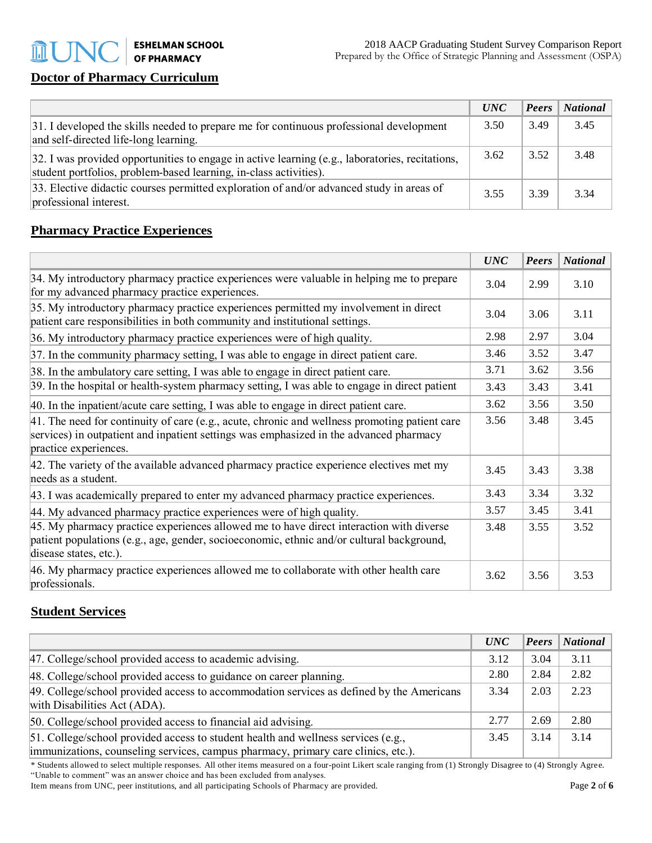## **Doctor of Pharmacy Curriculum**

|                                                                                                                                                                      | <i>UNC</i> | $\vert$ Peers | $\vert$ National |
|----------------------------------------------------------------------------------------------------------------------------------------------------------------------|------------|---------------|------------------|
| 31. I developed the skills needed to prepare me for continuous professional development<br>and self-directed life-long learning.                                     | 3.50       | 3.49          | 3.45             |
| 32. I was provided opportunities to engage in active learning (e.g., laboratories, recitations,<br>student portfolios, problem-based learning, in-class activities). | 3.62       | 3.52          | 3.48             |
| 33. Elective didactic courses permitted exploration of and/or advanced study in areas of<br>professional interest.                                                   | 3.55       | 3.39          | 3.34             |

## **Pharmacy Practice Experiences**

|                                                                                                                                                                                                                  | <b>UNC</b> | Peers | <b>National</b> |
|------------------------------------------------------------------------------------------------------------------------------------------------------------------------------------------------------------------|------------|-------|-----------------|
| 34. My introductory pharmacy practice experiences were valuable in helping me to prepare<br>for my advanced pharmacy practice experiences.                                                                       | 3.04       | 2.99  | 3.10            |
| 35. My introductory pharmacy practice experiences permitted my involvement in direct<br>patient care responsibilities in both community and institutional settings.                                              |            | 3.06  | 3.11            |
| 36. My introductory pharmacy practice experiences were of high quality.                                                                                                                                          | 2.98       | 2.97  | 3.04            |
| 37. In the community pharmacy setting, I was able to engage in direct patient care.                                                                                                                              | 3.46       | 3.52  | 3.47            |
| 38. In the ambulatory care setting, I was able to engage in direct patient care.                                                                                                                                 | 3.71       | 3.62  | 3.56            |
| 39. In the hospital or health-system pharmacy setting, I was able to engage in direct patient                                                                                                                    | 3.43       | 3.43  | 3.41            |
| 40. In the inpatient/acute care setting, I was able to engage in direct patient care.                                                                                                                            |            | 3.56  | 3.50            |
| 41. The need for continuity of care (e.g., acute, chronic and wellness promoting patient care<br>services) in outpatient and inpatient settings was emphasized in the advanced pharmacy<br>practice experiences. |            | 3.48  | 3.45            |
| 42. The variety of the available advanced pharmacy practice experience electives met my<br>needs as a student.                                                                                                   |            | 3.43  | 3.38            |
| 43. I was academically prepared to enter my advanced pharmacy practice experiences.                                                                                                                              | 3.43       | 3.34  | 3.32            |
| 44. My advanced pharmacy practice experiences were of high quality.                                                                                                                                              |            | 3.45  | 3.41            |
| 45. My pharmacy practice experiences allowed me to have direct interaction with diverse<br>patient populations (e.g., age, gender, socioeconomic, ethnic and/or cultural background,<br>disease states, etc.).   |            | 3.55  | 3.52            |
| 46. My pharmacy practice experiences allowed me to collaborate with other health care<br>professionals.                                                                                                          | 3.62       | 3.56  | 3.53            |

## **Student Services**

|                                                                                                                                                                        | <i>UNC</i> | $\left  \right $ <i>Peers</i> | <b>National</b> |
|------------------------------------------------------------------------------------------------------------------------------------------------------------------------|------------|-------------------------------|-----------------|
| 47. College/school provided access to academic advising.                                                                                                               | 3.12       | 3.04                          | 3.11            |
| 48. College/school provided access to guidance on career planning.                                                                                                     | 2.80       | 2.84                          | 2.82            |
| 49. College/school provided access to accommodation services as defined by the Americans<br>with Disabilities Act (ADA).                                               | 3.34       | 2.03                          | 2.23            |
| 50. College/school provided access to financial aid advising.                                                                                                          | 2.77       | 2.69                          | 2.80            |
| 51. College/school provided access to student health and wellness services (e.g.,<br>immunizations, counseling services, campus pharmacy, primary care clinics, etc.). | 3.45       | 3.14                          | 3.14            |

\* Students allowed to select multiple responses. All other items measured on a four-point Likert scale ranging from (1) Strongly Disagree to (4) Strongly Agree. "Unable to comment" was an answer choice and has been excluded from analyses.

Item means from UNC, peer institutions, and all participating Schools of Pharmacy are provided. Page 2 of **6**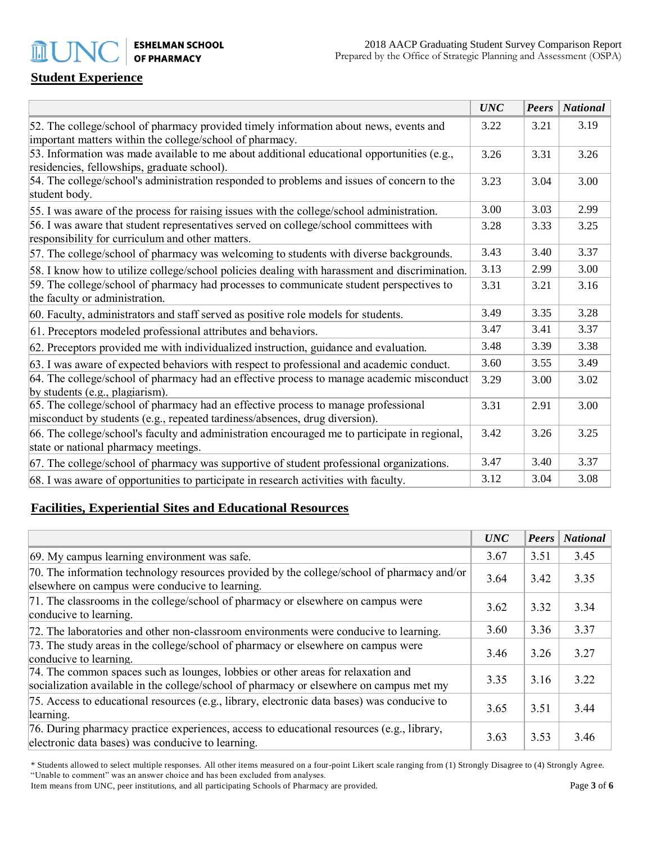**ESHELMAN SCHOOL OF PHARMACY** 

## **Student Experience**

m l

|                                                                                                                                                                   | <b>UNC</b> | Peers | <b>National</b> |
|-------------------------------------------------------------------------------------------------------------------------------------------------------------------|------------|-------|-----------------|
| 52. The college/school of pharmacy provided timely information about news, events and<br>important matters within the college/school of pharmacy.                 | 3.22       | 3.21  | 3.19            |
| 53. Information was made available to me about additional educational opportunities (e.g.,<br>residencies, fellowships, graduate school).                         | 3.26       | 3.31  | 3.26            |
| 54. The college/school's administration responded to problems and issues of concern to the<br>student body.                                                       | 3.23       | 3.04  | 3.00            |
| 55. I was aware of the process for raising issues with the college/school administration.                                                                         | 3.00       | 3.03  | 2.99            |
| 56. I was aware that student representatives served on college/school committees with<br>responsibility for curriculum and other matters.                         | 3.28       | 3.33  | 3.25            |
| 57. The college/school of pharmacy was welcoming to students with diverse backgrounds.                                                                            | 3.43       | 3.40  | 3.37            |
| 58. I know how to utilize college/school policies dealing with harassment and discrimination.                                                                     | 3.13       | 2.99  | 3.00            |
| 59. The college/school of pharmacy had processes to communicate student perspectives to<br>the faculty or administration.                                         | 3.31       | 3.21  | 3.16            |
| 60. Faculty, administrators and staff served as positive role models for students.                                                                                | 3.49       | 3.35  | 3.28            |
| 61. Preceptors modeled professional attributes and behaviors.                                                                                                     | 3.47       | 3.41  | 3.37            |
| 62. Preceptors provided me with individualized instruction, guidance and evaluation.                                                                              | 3.48       | 3.39  | 3.38            |
| 63. I was aware of expected behaviors with respect to professional and academic conduct.                                                                          | 3.60       | 3.55  | 3.49            |
| 64. The college/school of pharmacy had an effective process to manage academic misconduct<br>by students (e.g., plagiarism).                                      | 3.29       | 3.00  | 3.02            |
| 65. The college/school of pharmacy had an effective process to manage professional<br>misconduct by students (e.g., repeated tardiness/absences, drug diversion). | 3.31       | 2.91  | 3.00            |
| 66. The college/school's faculty and administration encouraged me to participate in regional,<br>state or national pharmacy meetings.                             | 3.42       | 3.26  | 3.25            |
| 67. The college/school of pharmacy was supportive of student professional organizations.                                                                          | 3.47       | 3.40  | 3.37            |
| 68. I was aware of opportunities to participate in research activities with faculty.                                                                              | 3.12       | 3.04  | 3.08            |

## **Facilities, Experiential Sites and Educational Resources**

|                                                                                                                                                                             | <b>UNC</b> | Peers | <b>National</b> |
|-----------------------------------------------------------------------------------------------------------------------------------------------------------------------------|------------|-------|-----------------|
| 69. My campus learning environment was safe.                                                                                                                                | 3.67       | 3.51  | 3.45            |
| 70. The information technology resources provided by the college/school of pharmacy and/or<br>elsewhere on campus were conducive to learning.                               | 3.64       | 3.42  | 3.35            |
| 71. The classrooms in the college/school of pharmacy or elsewhere on campus were<br>conducive to learning.                                                                  | 3.62       | 3.32  | 3.34            |
| 72. The laboratories and other non-classroom environments were conducive to learning.                                                                                       | 3.60       | 3.36  | 3.37            |
| 73. The study areas in the college/school of pharmacy or elsewhere on campus were<br>conducive to learning.                                                                 | 3.46       | 3.26  | 3.27            |
| 74. The common spaces such as lounges, lobbies or other areas for relaxation and<br>socialization available in the college/school of pharmacy or elsewhere on campus met my | 3.35       | 3.16  | 3.22            |
| 75. Access to educational resources (e.g., library, electronic data bases) was conducive to<br>learning.                                                                    | 3.65       | 3.51  | 3.44            |
| 76. During pharmacy practice experiences, access to educational resources (e.g., library,<br>electronic data bases) was conducive to learning.                              | 3.63       | 3.53  | 3.46            |

\* Students allowed to select multiple responses. All other items measured on a four-point Likert scale ranging from (1) Strongly Disagree to (4) Strongly Agree. "Unable to comment" was an answer choice and has been excluded from analyses.

Item means from UNC, peer institutions, and all participating Schools of Pharmacy are provided. Page **3** of **6**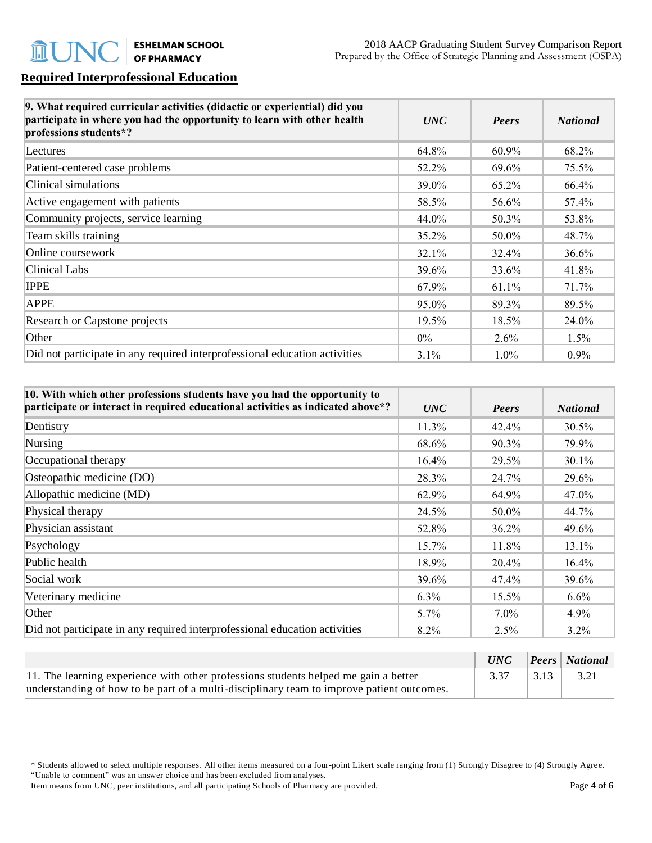## **Required Interprofessional Education**

| 9. What required curricular activities (didactic or experiential) did you<br>participate in where you had the opportunity to learn with other health<br>professions students*? | <b>UNC</b> | Peers   | <b>National</b> |
|--------------------------------------------------------------------------------------------------------------------------------------------------------------------------------|------------|---------|-----------------|
| Lectures                                                                                                                                                                       | 64.8%      | 60.9%   | 68.2%           |
| Patient-centered case problems                                                                                                                                                 | 52.2%      | 69.6%   | 75.5%           |
| Clinical simulations                                                                                                                                                           | 39.0%      | 65.2%   | 66.4%           |
| Active engagement with patients                                                                                                                                                | 58.5%      | 56.6%   | 57.4%           |
| Community projects, service learning                                                                                                                                           | 44.0%      | 50.3%   | 53.8%           |
| Team skills training                                                                                                                                                           | $35.2\%$   | 50.0%   | 48.7%           |
| Online coursework                                                                                                                                                              | 32.1%      | 32.4%   | 36.6%           |
| Clinical Labs                                                                                                                                                                  | 39.6%      | 33.6%   | 41.8%           |
| <b>IPPE</b>                                                                                                                                                                    | 67.9%      | 61.1%   | 71.7%           |
| <b>APPE</b>                                                                                                                                                                    | 95.0%      | 89.3%   | 89.5%           |
| <b>Research or Capstone projects</b>                                                                                                                                           | 19.5%      | 18.5%   | 24.0%           |
| Other                                                                                                                                                                          | $0\%$      | 2.6%    | 1.5%            |
| Did not participate in any required interprofessional education activities                                                                                                     | $3.1\%$    | $1.0\%$ | $0.9\%$         |

| 10. With which other professions students have you had the opportunity to<br>participate or interact in required educational activities as indicated above*? | <b>UNC</b> | Peers   | <b>National</b> |
|--------------------------------------------------------------------------------------------------------------------------------------------------------------|------------|---------|-----------------|
| Dentistry                                                                                                                                                    | 11.3%      | 42.4%   | 30.5%           |
| Nursing                                                                                                                                                      | 68.6%      | 90.3%   | 79.9%           |
| Occupational therapy                                                                                                                                         | 16.4%      | 29.5%   | 30.1%           |
| Osteopathic medicine (DO)                                                                                                                                    | 28.3%      | 24.7%   | 29.6%           |
| Allopathic medicine (MD)                                                                                                                                     | 62.9%      | 64.9%   | 47.0%           |
| Physical therapy                                                                                                                                             | 24.5%      | 50.0%   | 44.7%           |
| Physician assistant                                                                                                                                          | 52.8%      | 36.2%   | 49.6%           |
| Psychology                                                                                                                                                   | 15.7%      | 11.8%   | 13.1%           |
| Public health                                                                                                                                                | 18.9%      | 20.4%   | 16.4%           |
| Social work                                                                                                                                                  | 39.6%      | 47.4%   | 39.6%           |
| Veterinary medicine                                                                                                                                          | $6.3\%$    | 15.5%   | $6.6\%$         |
| Other                                                                                                                                                        | 5.7%       | $7.0\%$ | 4.9%            |
| Did not participate in any required interprofessional education activities                                                                                   | 8.2%       | 2.5%    | $3.2\%$         |

|                                                                                           | UNC  |      | $\left  \right $ Peers   National |
|-------------------------------------------------------------------------------------------|------|------|-----------------------------------|
| $ 11$ . The learning experience with other professions students helped me gain a better   | 3.37 | 3.13 | 3.21                              |
| understanding of how to be part of a multi-disciplinary team to improve patient outcomes. |      |      |                                   |

\* Students allowed to select multiple responses. All other items measured on a four-point Likert scale ranging from (1) Strongly Disagree to (4) Strongly Agree. "Unable to comment" was an answer choice and has been excluded from analyses.

Item means from UNC, peer institutions, and all participating Schools of Pharmacy are provided. Page **4** of **6**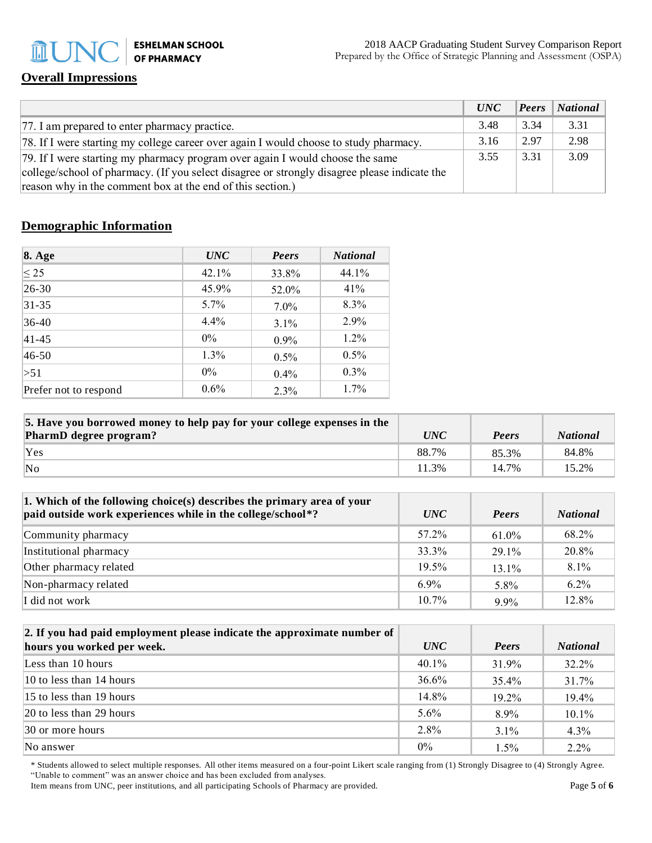**ESHELMAN SCHOOL nUI OF PHARMACY** 

## **Overall Impressions**

|                                                                                              | UNC  | <b>Peers</b> | $\vert$ National |
|----------------------------------------------------------------------------------------------|------|--------------|------------------|
| [77. I am prepared to enter pharmacy practice.]                                              | 3.48 | 3.34         | 3.31             |
| [78. If I were starting my college career over again I would choose to study pharmacy.]      | 3.16 | 2.97         | 2.98             |
| [79. If I were starting my pharmacy program over again I would choose the same               | 3.55 | 3.31         | 3.09             |
| college/school of pharmacy. (If you select disagree or strongly disagree please indicate the |      |              |                  |
| reason why in the comment box at the end of this section.)                                   |      |              |                  |

## **Demographic Information**

| <b>8. Age</b>         | <b>UNC</b> | Peers   | <b>National</b> |
|-----------------------|------------|---------|-----------------|
| $\leq$ 25             | 42.1%      | 33.8%   | 44.1%           |
| $ 26-30 $             | 45.9%      | 52.0%   | 41%             |
| $31 - 35$             | $5.7\%$    | $7.0\%$ | 8.3%            |
| $36-40$               | $4.4\%$    | 3.1%    | 2.9%            |
| $ 41 - 45 $           | $0\%$      | $0.9\%$ | 1.2%            |
| $ 46-50 $             | 1.3%       | $0.5\%$ | $0.5\%$         |
| >51                   | $0\%$      | 0.4%    | $0.3\%$         |
| Prefer not to respond | $0.6\%$    | 2.3%    | 1.7%            |

| 5. Have you borrowed money to help pay for your college expenses in the |            |       |                 |
|-------------------------------------------------------------------------|------------|-------|-----------------|
| PharmD degree program?                                                  | <i>UNC</i> | Peers | <b>National</b> |
| Yes                                                                     | 88.7%      | 85.3% | 84.8%           |
| $\overline{\text{No}}$                                                  | 11.3%      | 14.7% | 15.2%           |

| 1. Which of the following choice(s) describes the primary area of your<br>paid outside work experiences while in the college/school*? | <i>UNC</i> | Peers    | <b>National</b> |
|---------------------------------------------------------------------------------------------------------------------------------------|------------|----------|-----------------|
| Community pharmacy                                                                                                                    | 57.2%      | $61.0\%$ | 68.2%           |
| Institutional pharmacy                                                                                                                | 33.3%      | 29 1%    | 20.8%           |
| Other pharmacy related                                                                                                                | $19.5\%$   | $13.1\%$ | 8.1%            |
| Non-pharmacy related                                                                                                                  | $6.9\%$    | 5.8%     | $6.2\%$         |
| I did not work                                                                                                                        | $10.7\%$   | $9.9\%$  | 12.8%           |

| 2. If you had paid employment please indicate the approximate number of |            |          |                 |
|-------------------------------------------------------------------------|------------|----------|-----------------|
| hours you worked per week.                                              | <i>UNC</i> | Peers    | <b>National</b> |
| Less than 10 hours                                                      | 40.1%      | 31.9%    | 32.2%           |
| $10$ to less than 14 hours                                              | 36.6%      | 35.4%    | 31.7%           |
| $15$ to less than 19 hours                                              | 14.8%      | $19.2\%$ | 19.4%           |
| $ 20 \text{ to }$ less than 29 hours                                    | $5.6\%$    | 8.9%     | 10.1%           |
| $ 30 \text{ or more hours} $                                            | 2.8%       | $3.1\%$  | 4.3%            |
| No answer                                                               | $0\%$      | 1.5%     | $2.2\%$         |

\* Students allowed to select multiple responses. All other items measured on a four-point Likert scale ranging from (1) Strongly Disagree to (4) Strongly Agree. "Unable to comment" was an answer choice and has been excluded from analyses.

Item means from UNC, peer institutions, and all participating Schools of Pharmacy are provided. Page 5 of 6